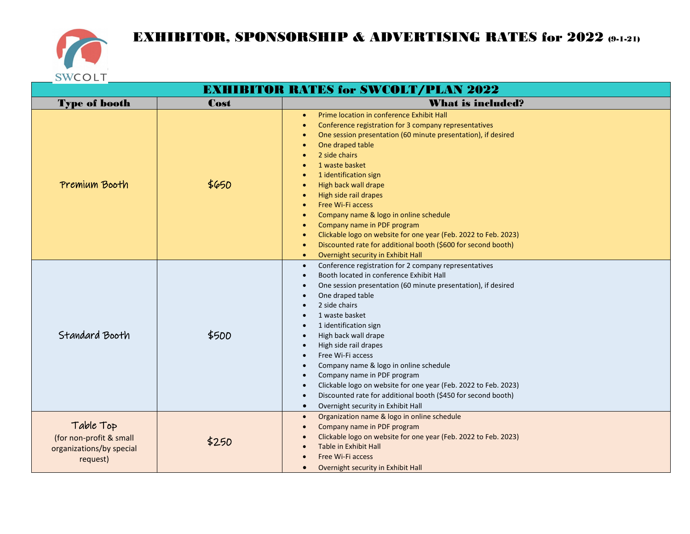

## EXHIBITOR, SPONSORSHIP & ADVERTISING RATES for 2022 (9-1-21)

| <b>EXHIBITOR RATES for SWCOLT/PLAN 2022</b>                                  |       |                                                                                                                                                                                                                                                                                                                                                                                                                                                                                                                                                                                                                                              |  |  |
|------------------------------------------------------------------------------|-------|----------------------------------------------------------------------------------------------------------------------------------------------------------------------------------------------------------------------------------------------------------------------------------------------------------------------------------------------------------------------------------------------------------------------------------------------------------------------------------------------------------------------------------------------------------------------------------------------------------------------------------------------|--|--|
| <b>Type of booth</b>                                                         | Cost  | <b>What is included?</b>                                                                                                                                                                                                                                                                                                                                                                                                                                                                                                                                                                                                                     |  |  |
| Premium Booth                                                                | \$650 | Prime location in conference Exhibit Hall<br>$\bullet$<br>Conference registration for 3 company representatives<br>One session presentation (60 minute presentation), if desired<br>One draped table<br>2 side chairs<br>1 waste basket<br>1 identification sign<br>High back wall drape<br>High side rail drapes<br>Free Wi-Fi access<br>Company name & logo in online schedule<br>Company name in PDF program<br>Clickable logo on website for one year (Feb. 2022 to Feb. 2023)<br>Discounted rate for additional booth (\$600 for second booth)<br>$\bullet$<br>Overnight security in Exhibit Hall<br>$\bullet$                          |  |  |
| Standard Booth                                                               | \$500 | Conference registration for 2 company representatives<br>$\bullet$<br>Booth located in conference Exhibit Hall<br>$\bullet$<br>One session presentation (60 minute presentation), if desired<br>One draped table<br>2 side chairs<br>1 waste basket<br>1 identification sign<br>High back wall drape<br>$\bullet$<br>High side rail drapes<br>Free Wi-Fi access<br>Company name & logo in online schedule<br>Company name in PDF program<br>Clickable logo on website for one year (Feb. 2022 to Feb. 2023)<br>$\bullet$<br>Discounted rate for additional booth (\$450 for second booth)<br>Overnight security in Exhibit Hall<br>$\bullet$ |  |  |
| Table Top<br>(for non-profit & small<br>organizations/by special<br>request) | \$250 | Organization name & logo in online schedule<br>$\bullet$<br>Company name in PDF program<br>$\bullet$<br>Clickable logo on website for one year (Feb. 2022 to Feb. 2023)<br>Table in Exhibit Hall<br>Free Wi-Fi access<br>Overnight security in Exhibit Hall<br>$\bullet$                                                                                                                                                                                                                                                                                                                                                                     |  |  |